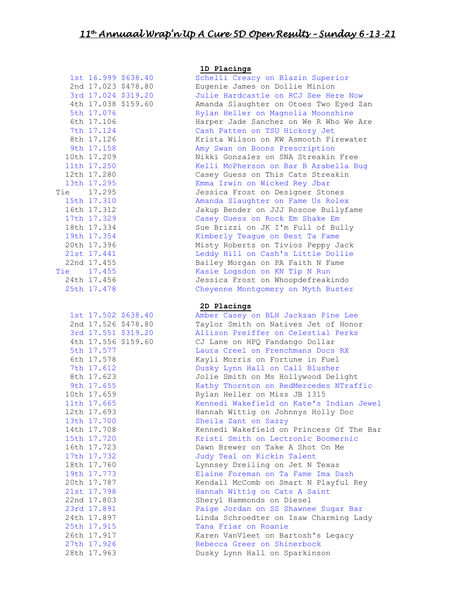| Tie                                                                                                                  | 5th 17.076<br>6th 17.106<br>7th 17.124<br>8th 17.126<br>9th 17.158<br>10th 17.209<br>11th 17.250<br>12th 17.280<br>13th 17.295<br>Fie 17.295<br>15th 17.310<br>16th 17.312<br>17th 17.329<br>18th 17.334<br>19th 17.354<br>20th 17.396<br>21st 17.441<br>22nd 17.455<br>17.455<br>24th 17.456<br>25th 17.478               | 2nd 17.023 \$478.80<br>3rd 17.024 \$319.20<br>4th 17.038 \$159.60<br>1st 17.502 \$638.40<br>2nd 17.526 \$478.80 |
|----------------------------------------------------------------------------------------------------------------------|----------------------------------------------------------------------------------------------------------------------------------------------------------------------------------------------------------------------------------------------------------------------------------------------------------------------------|-----------------------------------------------------------------------------------------------------------------|
| 13th<br>14th<br>15th<br>16th<br>17th<br>18th<br>19th<br>20th<br>21st<br>22nd<br>23rd<br>24th<br>25th<br>26th<br>つつ+h | 5th 17.577<br>6th 17.578<br>7th 17.612<br>8th 17.623<br>9th 17.655<br>10th 17.659<br>11th 17.665<br>12th 17.693<br>17.700<br>17.708<br>.720<br>17<br>723<br>17<br>732<br>17<br>17<br>760<br>17<br>773<br>787<br>17<br>17<br>798<br>$\ddot{\phantom{0}}$<br>.803<br>17<br>17.891<br>17.897<br>17.915<br>917<br>17<br>Q<br>っ | 3rd 17.551 \$319.20<br>4th 17.556 \$159.60                                                                      |

#### **1D Placings**

Schelli Creacy on Blazin Superior Eugenie James on Dollie Minion Julie Hardcastle on RCJ See Here Now Amanda Slaughter on Otoes Two Eyed Zan Rylan Heller on Magnolia Moonshine Harper Jade Sanchez on We R Who We Are Cash Patten on TSU Hickory Jet Krista Wilson on KW Asmooth Firewater Amy Swan on Boons Prescription Nikki Gonzales on SNA Streakin Free Kelli McPherson on Bar B Arabella Bug Casey Guess on This Cats Streakin Emma Irwin on Wicked Rey Jbar Tie 17.295 Jessica Frost on Designer Stones Amanda Slaughter on Fame Us Rolex Jakup Bender on JJJ Roscoe Bullyfame Casey Guess on Rock Em Shake Em Sue Brizzi on JK I'm Full of Bully Kimberly Teague on Best Ta Fame Misty Roberts on Tivios Peppy Jack Leddy Hill on Cash's Little Dollie Bailey Morgan on PA Faith N Fame Tie 17.455 Kasie Logsdon on KN Tip N Run Jessica Frost on Whoopdefreakindo Cheyenne Montgomery on Myth Buster

#### **2D Placings**

Amber Casey on BLH Jackzan Pine Lee Taylor Smith on Natives Jet of Honor Allison Preiffer on Celestial Perks CJ Lane on HPQ Fandango Dollar Laura Creel on Frenchmans Docs RX Kayli Morris on Fortune in Fuel Dusky Lynn Hall on Call Blusher Jolie Smith on Ms Hollywood Delight Kathy Thornton on RedMercedes NTraffic Rylan Heller on Miss JB 1315 Kennedi Wakefield on Kate's Indian Jewel Hannah Wittig on Johnnys Holly Doc Sheila Zant on Sazzy Kennedi Wakefield on Princess Of The Bar Kristi Smith on Lectronic Boomernic Dawn Brewer on Take A Shot On Me Judy Teal on Kickin Talent Lynnsey Dreiling on Jet N Texas Elaine Foreman on Ta Fame Ima Dash Kendall McComb on Smart N Playful Rey Hannah Wittig on Cats A Saint Sheryl Hammonds on Diesel Paige Jordan on SS Shawnee Sugar Bar Linda Schroedter on Isaw Charming Lady Tana Friar on Roanie Karen VanVleet on Bartosh's Legacy 27th 17.926 Rebecca Greer on Shinerbock 28th 17.963 Dusky Lynn Hall on Sparkinson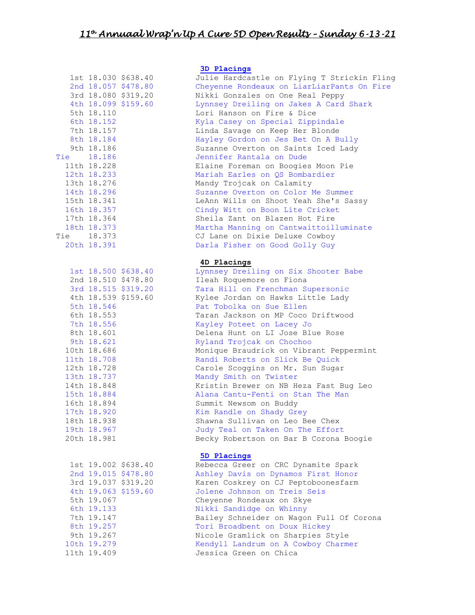| 'ie<br>'ie                       | 5th 18.110<br>6th 18.152<br>7th 18.157<br>8th 18.184<br>9th 18.186<br>18.186<br>11th 18.228<br>12th 18.233<br>13th 18.276<br>14th 18.296<br>15th 18.341<br>16th 18.357<br>17th 18.364<br>18th 18.373<br>18.373<br>20th 18.391           | 1st 18.030 \$638.40<br>2nd 18.057 \$478.80<br>3rd 18.080 \$319.20<br>4th 18.099 \$159.60 |
|----------------------------------|-----------------------------------------------------------------------------------------------------------------------------------------------------------------------------------------------------------------------------------------|------------------------------------------------------------------------------------------|
|                                  | 5th 18.546<br>6th 18.553<br>7th 18.556<br>8th 18.601<br>9th 18.621<br>10th 18.686<br>11th 18.708<br>12th 18.728<br>13th 18.737<br>14th 18.848<br>15th 18.884<br>16th 18.894<br>17th 18.920<br>18th 18.938<br>19th 18.967<br>20th 18.981 | 1st 18.500 \$638.40<br>2nd 18.510 \$478.80<br>3rd 18.515 \$319.20<br>4th 18.539 \$159.60 |
| 1st<br>7th<br>8th<br>9th<br>10th | 19.002<br>5th 19.067<br>6th 19.133<br>19.147<br>19.257<br>19.267<br>19.279<br>1 <sub>0</sub>                                                                                                                                            | \$638.40<br>2nd 19.015 \$478.80<br>3rd 19.037 \$319.20<br>4th 19.063 \$159.60            |

# **3D Placings**

Julie Hardcastle on Flying T Strickin Fling Cheyenne Rondeaux on LiarLiarPants On Fire Nikki Gonzales on One Real Peppy Lynnsey Dreiling on Jakes A Card Shark Lori Hanson on Fire & Dice Kyla Casey on Special Zippindale Linda Savage on Keep Her Blonde Hayley Gordon on Jes Bet On A Bully Suzanne Overton on Saints Iced Lady Tie 18.186 Jennifer Rantala on Dude Elaine Foreman on Boogies Moon Pie Mariah Earles on QS Bombardier Mandy Trojcak on Calamity Suzanne Overton on Color Me Summer LeAnn Wills on Shoot Yeah She's Sassy Cindy Witt on Boon Lite Cricket Sheila Zant on Blazen Hot Fire Martha Manning on Cantwaittoilluminate Tie 18.373 CJ Lane on Dixie Deluxe Cowboy Darla Fisher on Good Golly Guy

### **4D Placings**

Lynnsey Dreiling on Six Shooter Babe Ileah Roquemore on Fiona Tara Hill on Frenchman Supersonic Kylee Jordan on Hawks Little Lady Pat Tobolka on Sue Ellen Taran Jackson on MP Coco Driftwood Kayley Poteet on Lacey Jo Delena Hunt on LI Jose Blue Rose Ryland Trojcak on Chochoo Monique Braudrick on Vibrant Peppermint Randi Roberts on Slick Be Quick Carole Scoggins on Mr. Sun Sugar Mandy Smith on Twister Kristin Brewer on NB Heza Fast Bug Leo Alana Cantu-Fenti on Stan The Man Summit Newsom on Buddy Kim Randle on Shady Grey Shawna Sullivan on Leo Bee Chex Judy Teal on Taken On The Effort Becky Robertson on Bar B Corona Boogie

# **5D Placings**

Rebecca Greer on CRC Dynamite Spark Ashley Davis on Dynamos First Honor Karen Coskrey on CJ Peptoboonesfarm Jolene Johnson on Treis Seis Cheyenne Rondeaux on Skye Nikki Sandidge on Whinny Bailey Schneider on Wagon Full Of Corona Tori Broadbent on Doux Hickey Nicole Gramlick on Sharpies Style Kendyll Landrum on A Cowboy Charmer 11th 19.409 Jessica Green on Chica